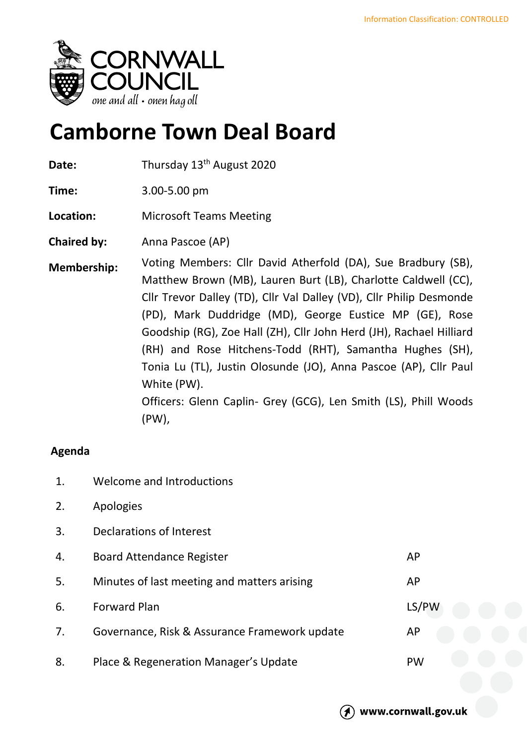

## **Camborne Town Deal Board**

Date: Thursday 13<sup>th</sup> August 2020

**Time:** 3.00-5.00 pm

**Location:** Microsoft Teams Meeting

**Chaired by:** Anna Pascoe (AP)

**Membership:** Voting Members: Cllr David Atherfold (DA), Sue Bradbury (SB), Matthew Brown (MB), Lauren Burt (LB), Charlotte Caldwell (CC), Cllr Trevor Dalley (TD), Cllr Val Dalley (VD), Cllr Philip Desmonde (PD), Mark Duddridge (MD), George Eustice MP (GE), Rose Goodship (RG), Zoe Hall (ZH), Cllr John Herd (JH), Rachael Hilliard (RH) and Rose Hitchens-Todd (RHT), Samantha Hughes (SH), Tonia Lu (TL), Justin Olosunde (JO), Anna Pascoe (AP), Cllr Paul White (PW). Officers: Glenn Caplin- Grey (GCG), Len Smith (LS), Phill Woods (PW),

## **Agenda**

- 1. Welcome and Introductions
- 2. Apologies
- 3. Declarations of Interest
- 4. Board Attendance Register AP 5. Minutes of last meeting and matters arising Manuscriptum AP 6. Forward Plan LS/PW 7. Governance, Risk & Assurance Framework update AP 8. Place & Regeneration Manager's Update **PW**